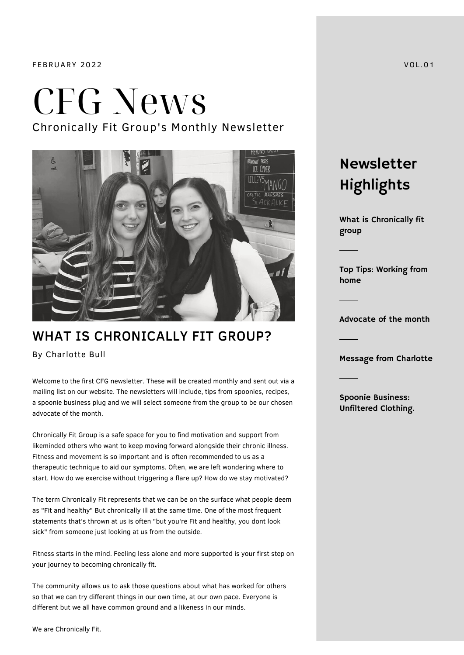FEBRUARY 2022 VOL .01

## CFG News Chronically Fit Group's Monthly Newsletter



### WHAT IS CHRONICALLY FIT GROUP?

By Charlotte Bull

Welcome to the first CFG newsletter. These will be created monthly and sent out via a mailing list on our website. The newsletters will include, tips from spoonies, recipes, a spoonie business plug and we will select someone from the group to be our chosen advocate of the month.

Chronically Fit Group is a safe space for you to find motivation and support from likeminded others who want to keep moving forward alongside their chronic illness. Fitness and movement is so important and is often recommended to us as a therapeutic technique to aid our symptoms. Often, we are left wondering where to start. How do we exercise without triggering a flare up? How do we stay motivated?

The term Chronically Fit represents that we can be on the surface what people deem as "Fit and healthy" But chronically ill at the same time. One of the most frequent statements that's thrown at us is often "but you're Fit and healthy, you dont look sick" from someone just looking at us from the outside.

Fitness starts in the mind. Feeling less alone and more supported is your first step on your journey to becoming chronically fit.

The community allows us to ask those questions about what has worked for others so that we can try different things in our own time, at our own pace. Everyone is different but we all have common ground and a likeness in our minds.

Newsletter Highlights

What is Chronically fit group

Top Tips: Working from home

Advocate of the month

Message from Charlotte

Spoonie Business: Unfiltered Clothing.

We are Chronically Fit.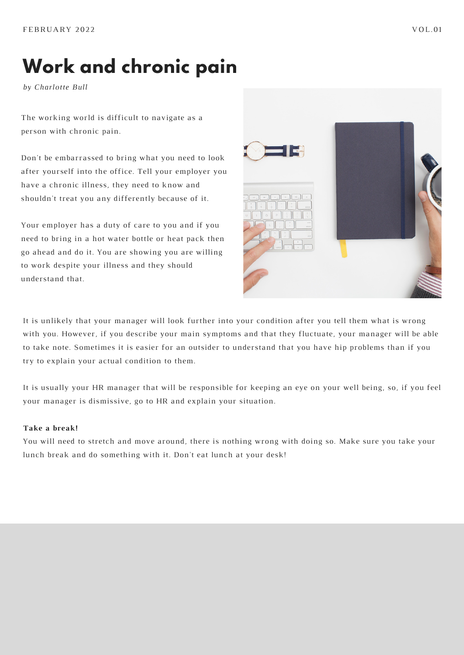### **Work and chronic pain**

*by Charlotte Bull*

The working world is difficult to navigate as a person with chronic pain.

Don't be embarrassed to bring what you need to look after yourself into the office. Tell your employer you have a chronic illness, they need to know and shouldn't treat you any differently because of it.

Your employer has a duty of care to you and if you need to bring in a hot water bottle or heat pack then go ahead and do it. You are showing you are willing to work despite your illness and they should understand that.



It is unlikely that your manager will look further into your condition after you tell them what is wrong with you. However, if you describe your main symptoms and that they fluctuate, your manager will be able to take note. Sometimes it is easier for an outsider to understand that you have hip problems than if you try to explain your actual condition to them.

It is usually your HR manager that will be responsible for keeping an eye on your well being, so, if you feel your manager is dismissive, go to HR and explain your situation.

#### **Take a break!**

You will need to stretch and move around, there is nothing wrong with doing so. Make sure you take your lunch break and do something with it. Don't eat lunch at your desk!